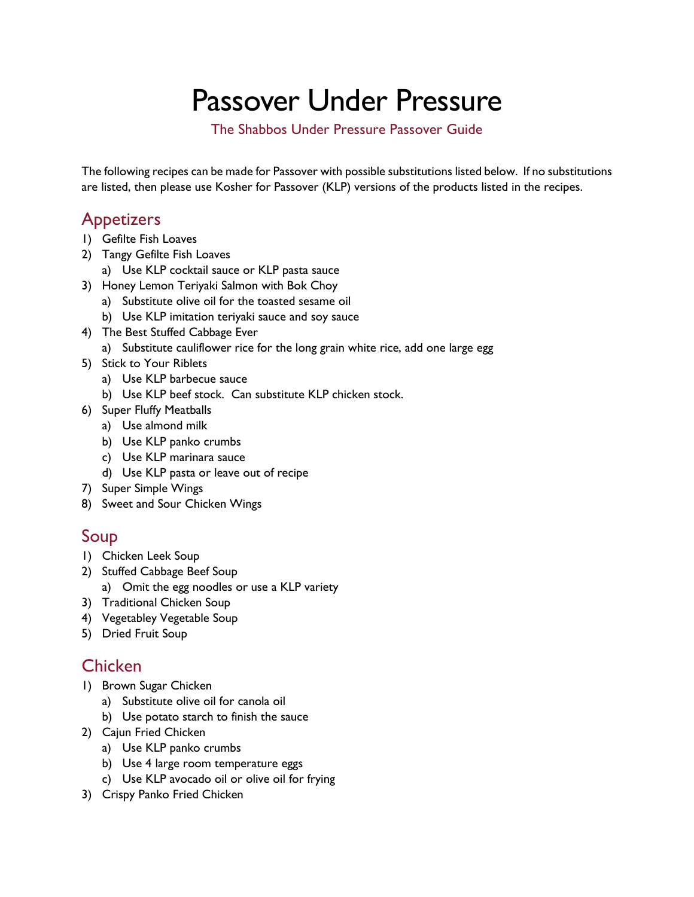# Passover Under Pressure

The Shabbos Under Pressure Passover Guide

The following recipes can be made for Passover with possible substitutions listed below. If no substitutions are listed, then please use Kosher for Passover (KLP) versions of the products listed in the recipes.

## **Appetizers**

- 1) Gefilte Fish Loaves
- 2) Tangy Gefilte Fish Loaves
	- a) Use KLP cocktail sauce or KLP pasta sauce
- 3) Honey Lemon Teriyaki Salmon with Bok Choy
	- a) Substitute olive oil for the toasted sesame oil
	- b) Use KLP imitation teriyaki sauce and soy sauce
- 4) The Best Stuffed Cabbage Ever
	- a) Substitute cauliflower rice for the long grain white rice, add one large egg
- 5) Stick to Your Riblets
	- a) Use KLP barbecue sauce
	- b) Use KLP beef stock. Can substitute KLP chicken stock.
- 6) Super Fluffy Meatballs
	- a) Use almond milk
	- b) Use KLP panko crumbs
	- c) Use KLP marinara sauce
	- d) Use KLP pasta or leave out of recipe
- 7) Super Simple Wings
- 8) Sweet and Sour Chicken Wings

# Soup

- 1) Chicken Leek Soup
- 2) Stuffed Cabbage Beef Soup
	- a) Omit the egg noodles or use a KLP variety
- 3) Traditional Chicken Soup
- 4) Vegetabley Vegetable Soup
- 5) Dried Fruit Soup

## **Chicken**

- 1) Brown Sugar Chicken
	- a) Substitute olive oil for canola oil
	- b) Use potato starch to finish the sauce
- 2) Cajun Fried Chicken
	- a) Use KLP panko crumbs
	- b) Use 4 large room temperature eggs
	- c) Use KLP avocado oil or olive oil for frying
- 3) Crispy Panko Fried Chicken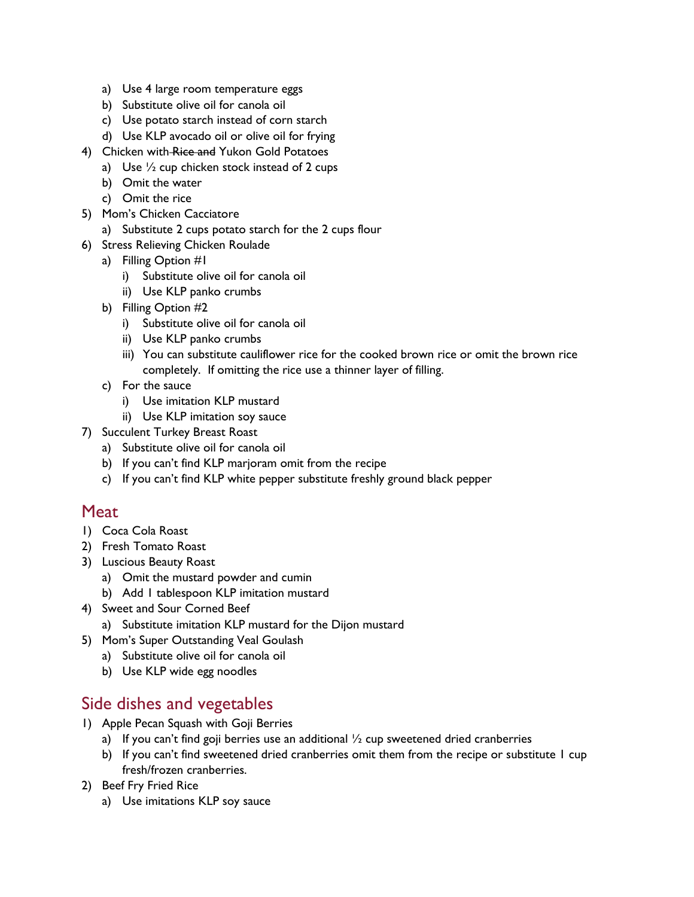- a) Use 4 large room temperature eggs
- b) Substitute olive oil for canola oil
- c) Use potato starch instead of corn starch
- d) Use KLP avocado oil or olive oil for frying
- 4) Chicken with Rice and Yukon Gold Potatoes
	- a) Use  $\frac{1}{2}$  cup chicken stock instead of 2 cups
	- b) Omit the water
	- c) Omit the rice
- 5) Mom's Chicken Cacciatore
	- a) Substitute 2 cups potato starch for the 2 cups flour
- 6) Stress Relieving Chicken Roulade
	- a) Filling Option #1
		- i) Substitute olive oil for canola oil
		- ii) Use KLP panko crumbs
	- b) Filling Option #2
		- i) Substitute olive oil for canola oil
		- ii) Use KLP panko crumbs
		- iii) You can substitute cauliflower rice for the cooked brown rice or omit the brown rice completely. If omitting the rice use a thinner layer of filling.
	- c) For the sauce
		- i) Use imitation KLP mustard
		- ii) Use KLP imitation soy sauce
- 7) Succulent Turkey Breast Roast
	- a) Substitute olive oil for canola oil
	- b) If you can't find KLP marjoram omit from the recipe
	- c) If you can't find KLP white pepper substitute freshly ground black pepper

#### **Meat**

- 1) Coca Cola Roast
- 2) Fresh Tomato Roast
- 3) Luscious Beauty Roast
	- a) Omit the mustard powder and cumin
	- b) Add 1 tablespoon KLP imitation mustard
- 4) Sweet and Sour Corned Beef
	- a) Substitute imitation KLP mustard for the Dijon mustard
- 5) Mom's Super Outstanding Veal Goulash
	- a) Substitute olive oil for canola oil
	- b) Use KLP wide egg noodles

## Side dishes and vegetables

- 1) Apple Pecan Squash with Goji Berries
	- a) If you can't find goji berries use an additional  $\frac{1}{2}$  cup sweetened dried cranberries
	- b) If you can't find sweetened dried cranberries omit them from the recipe or substitute 1 cup fresh/frozen cranberries.
- 2) Beef Fry Fried Rice
	- a) Use imitations KLP soy sauce